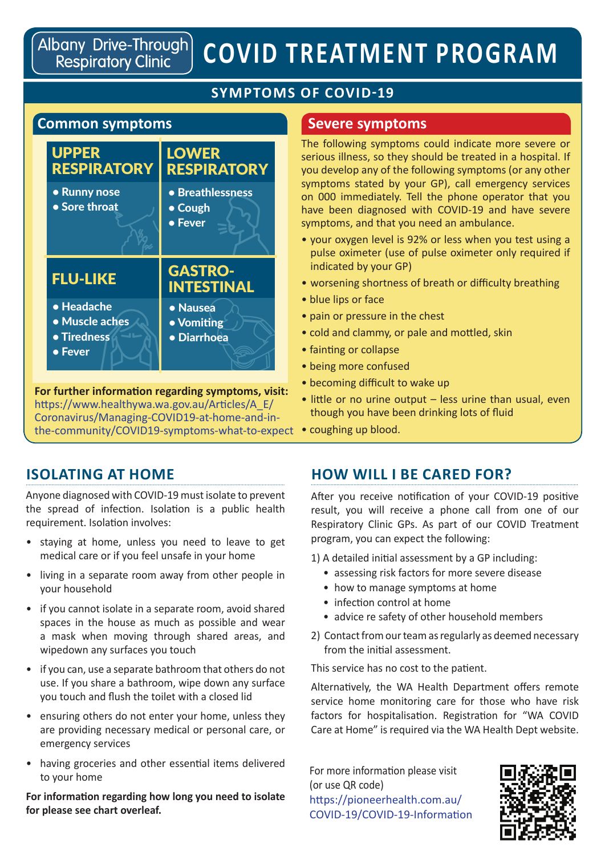Albany Drive-Through) **Respiratory Clinic** 

# **COVID TREATMENT PROGRAM**

#### **SYMPTOMS OF COVID-19**

#### **Common symptoms**



the-community/COVID19-symptoms-what-to-expect • coughing up blood. **For further information regarding symptoms, visit:** https://www.healthywa.wa.gov.au/Articles/A\_E/ Coronavirus/Managing-COVID19-at-home-and-in-

#### **Severe symptoms**

The following symptoms could indicate more severe or serious illness, so they should be treated in a hospital. If you develop any of the following symptoms (or any other symptoms stated by your GP), call emergency services on 000 immediately. Tell the phone operator that you have been diagnosed with COVID-19 and have severe symptoms, and that you need an ambulance.

- your oxygen level is 92% or less when you test using a pulse oximeter (use of pulse oximeter only required if indicated by your GP)
- worsening shortness of breath or difficulty breathing
- blue lips or face
- pain or pressure in the chest
- cold and clammy, or pale and mottled, skin
- fainting or collapse
- being more confused
- becoming difficult to wake up
- little or no urine output less urine than usual, even though you have been drinking lots of fluid
- 

#### **ISOLATING AT HOME**

Anyone diagnosed with COVID-19 must isolate to prevent the spread of infection. Isolation is a public health requirement. Isolation involves:

- staying at home, unless you need to leave to get medical care or if you feel unsafe in your home
- living in a separate room away from other people in your household
- if you cannot isolate in a separate room, avoid shared spaces in the house as much as possible and wear a mask when moving through shared areas, and wipedown any surfaces you touch
- if you can, use a separate bathroom that others do not use. If you share a bathroom, wipe down any surface you touch and flush the toilet with a closed lid
- ensuring others do not enter your home, unless they are providing necessary medical or personal care, or emergency services
- having groceries and other essential items delivered to your home

**For information regarding how long you need to isolate for please see chart overleaf.**

# **HOW WILL I BE CARED FOR?**

After you receive notification of your COVID-19 positive result, you will receive a phone call from one of our Respiratory Clinic GPs. As part of our COVID Treatment program, you can expect the following:

1) A detailed initial assessment by a GP including:

- assessing risk factors for more severe disease
- how to manage symptoms at home
- infection control at home
- advice re safety of other household members
- 2) Contact from our team as regularly as deemed necessary from the initial assessment.

This service has no cost to the patient.

Alternatively, the WA Health Department offers remote service home monitoring care for those who have risk factors for hospitalisation. Registration for "WA COVID Care at Home" is required via the WA Health Dept website.

For more information please visit (or use QR code) https://pioneerhealth.com.au/ COVID-19/COVID-19-Information